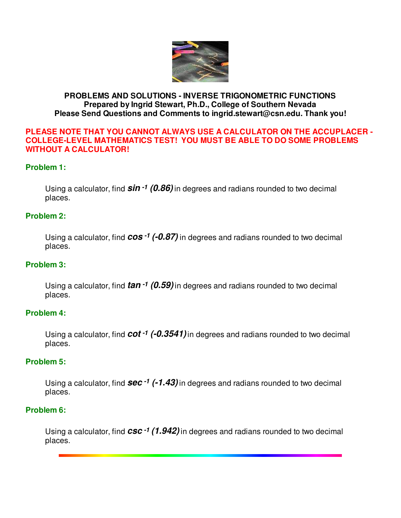

### **PROBLEMS AND SOLUTIONS - INVERSE TRIGONOMETRIC FUNCTIONS Prepared by Ingrid Stewart, Ph.D., College of Southern Nevada Please Send Questions and Comments to ingrid.stewart@csn.edu. Thank you!**

#### **PLEASE NOTE THAT YOU CANNOT ALWAYS USE A CALCULATOR ON THE ACCUPLACER - COLLEGE-LEVEL MATHEMATICS TEST! YOU MUST BE ABLE TO DO SOME PROBLEMS WITHOUT A CALCULATOR!**

## **Problem 1:**

Using a calculator, find **sin -1 (0.86)** in degrees and radians rounded to two decimal places.

#### **Problem 2:**

Using a calculator, find **cos -1 (-0.87)** in degrees and radians rounded to two decimal places.

#### **Problem 3:**

Using a calculator, find **tan -1 (0.59)**in degrees and radians rounded to two decimal places.

#### **Problem 4:**

Using a calculator, find **cot -1 (-0.3541)**in degrees and radians rounded to two decimal places.

#### **Problem 5:**

Using a calculator, find **sec -1 (-1.43)**in degrees and radians rounded to two decimal places.

#### **Problem 6:**

Using a calculator, find **csc -1 (1.942)**in degrees and radians rounded to two decimal places.